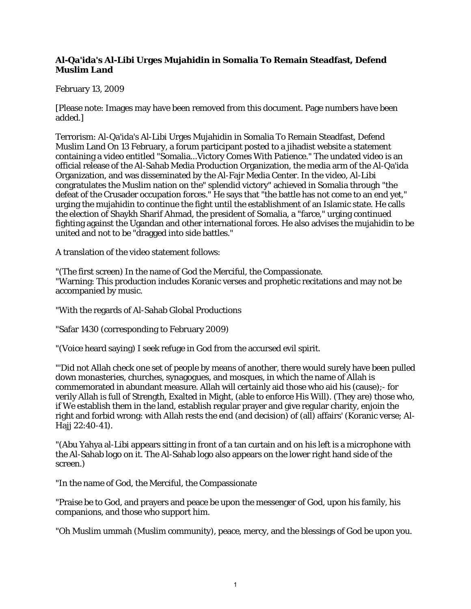## **Al-Qa'ida's Al-Libi Urges Mujahidin in Somalia To Remain Steadfast, Defend Muslim Land**

## February 13, 2009

[Please note: Images may have been removed from this document. Page numbers have been added.]

Terrorism: Al-Qa'ida's Al-Libi Urges Mujahidin in Somalia To Remain Steadfast, Defend Muslim Land On 13 February, a forum participant posted to a jihadist website a statement containing a video entitled "Somalia...Victory Comes With Patience." The undated video is an official release of the Al-Sahab Media Production Organization, the media arm of the Al-Qa'ida Organization, and was disseminated by the Al-Fajr Media Center. In the video, Al-Libi congratulates the Muslim nation on the" splendid victory" achieved in Somalia through "the defeat of the Crusader occupation forces." He says that "the battle has not come to an end yet," urging the mujahidin to continue the fight until the establishment of an Islamic state. He calls the election of Shaykh Sharif Ahmad, the president of Somalia, a "farce," urging continued fighting against the Ugandan and other international forces. He also advises the mujahidin to be united and not to be "dragged into side battles."

A translation of the video statement follows:

"(The first screen) In the name of God the Merciful, the Compassionate. "Warning: This production includes Koranic verses and prophetic recitations and may not be accompanied by music.

"With the regards of Al-Sahab Global Productions

"Safar 1430 (corresponding to February 2009)

"(Voice heard saying) I seek refuge in God from the accursed evil spirit.

"'Did not Allah check one set of people by means of another, there would surely have been pulled down monasteries, churches, synagogues, and mosques, in which the name of Allah is commemorated in abundant measure. Allah will certainly aid those who aid his (cause);- for verily Allah is full of Strength, Exalted in Might, (able to enforce His Will). (They are) those who, if We establish them in the land, establish regular prayer and give regular charity, enjoin the right and forbid wrong: with Allah rests the end (and decision) of (all) affairs' (Koranic verse; Al-Hajj 22:40-41).

"(Abu Yahya al-Libi appears sitting in front of a tan curtain and on his left is a microphone with the Al-Sahab logo on it. The Al-Sahab logo also appears on the lower right hand side of the screen.)

"In the name of God, the Merciful, the Compassionate

"Praise be to God, and prayers and peace be upon the messenger of God, upon his family, his companions, and those who support him.

"Oh Muslim ummah (Muslim community), peace, mercy, and the blessings of God be upon you.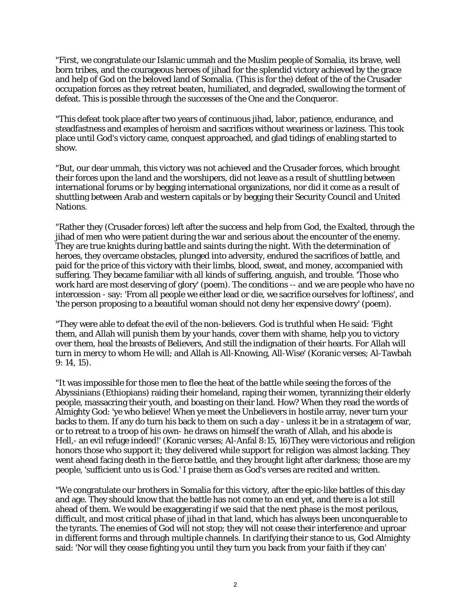"First, we congratulate our Islamic ummah and the Muslim people of Somalia, its brave, well born tribes, and the courageous heroes of jihad for the splendid victory achieved by the grace and help of God on the beloved land of Somalia. (This is for the) defeat of the of the Crusader occupation forces as they retreat beaten, humiliated, and degraded, swallowing the torment of defeat. This is possible through the successes of the One and the Conqueror.

"This defeat took place after two years of continuous jihad, labor, patience, endurance, and steadfastness and examples of heroism and sacrifices without weariness or laziness. This took place until God's victory came, conquest approached, and glad tidings of enabling started to show.

"But, our dear ummah, this victory was not achieved and the Crusader forces, which brought their forces upon the land and the worshipers, did not leave as a result of shuttling between international forums or by begging international organizations, nor did it come as a result of shuttling between Arab and western capitals or by begging their Security Council and United Nations.

"Rather they (Crusader forces) left after the success and help from God, the Exalted, through the jihad of men who were patient during the war and serious about the encounter of the enemy. They are true knights during battle and saints during the night. With the determination of heroes, they overcame obstacles, plunged into adversity, endured the sacrifices of battle, and paid for the price of this victory with their limbs, blood, sweat, and money, accompanied with suffering. They became familiar with all kinds of suffering, anguish, and trouble. 'Those who work hard are most deserving of glory' (poem). The conditions -- and we are people who have no intercession - say: 'From all people we either lead or die, we sacrifice ourselves for loftiness', and 'the person proposing to a beautiful woman should not deny her expensive dowry' (poem).

"They were able to defeat the evil of the non-believers. God is truthful when He said: 'Fight them, and Allah will punish them by your hands, cover them with shame, help you to victory over them, heal the breasts of Believers, And still the indignation of their hearts. For Allah will turn in mercy to whom He will; and Allah is All-Knowing, All-Wise' (Koranic verses; Al-Tawbah 9: 14, 15).

"It was impossible for those men to flee the heat of the battle while seeing the forces of the Abyssinians (Ethiopians) raiding their homeland, raping their women, tyrannizing their elderly people, massacring their youth, and boasting on their land. How? When they read the words of Almighty God: 'ye who believe! When ye meet the Unbelievers in hostile array, never turn your backs to them. If any do turn his back to them on such a day - unless it be in a stratagem of war, or to retreat to a troop of his own- he draws on himself the wrath of Allah, and his abode is Hell,- an evil refuge indeed!' (Koranic verses; Al-Anfal 8:15, 16)They were victorious and religion honors those who support it; they delivered while support for religion was almost lacking. They went ahead facing death in the fierce battle, and they brought light after darkness; those are my people, 'sufficient unto us is God.' I praise them as God's verses are recited and written.

"We congratulate our brothers in Somalia for this victory, after the epic-like battles of this day and age. They should know that the battle has not come to an end yet, and there is a lot still ahead of them. We would be exaggerating if we said that the next phase is the most perilous, difficult, and most critical phase of jihad in that land, which has always been unconquerable to the tyrants. The enemies of God will not stop; they will not cease their interference and uproar in different forms and through multiple channels. In clarifying their stance to us, God Almighty said: 'Nor will they cease fighting you until they turn you back from your faith if they can'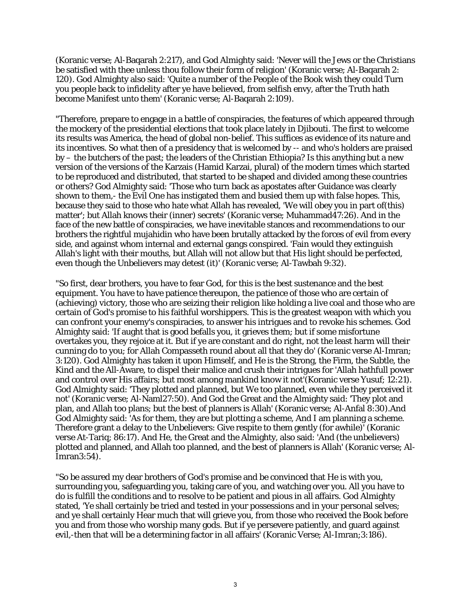(Koranic verse; Al-Baqarah 2:217), and God Almighty said: 'Never will the Jews or the Christians be satisfied with thee unless thou follow their form of religion' (Koranic verse; Al-Baqarah 2: 120). God Almighty also said: 'Quite a number of the People of the Book wish they could Turn you people back to infidelity after ye have believed, from selfish envy, after the Truth hath become Manifest unto them' (Koranic verse; Al-Baqarah 2:109).

"Therefore, prepare to engage in a battle of conspiracies, the features of which appeared through the mockery of the presidential elections that took place lately in Djibouti. The first to welcome its results was America, the head of global non-belief. This suffices as evidence of its nature and its incentives. So what then of a presidency that is welcomed by -- and who's holders are praised by – the butchers of the past; the leaders of the Christian Ethiopia? Is this anything but a new version of the versions of the Karzais (Hamid Karzai, plural) of the modern times which started to be reproduced and distributed, that started to be shaped and divided among these countries or others? God Almighty said: 'Those who turn back as apostates after Guidance was clearly shown to them,- the Evil One has instigated them and busied them up with false hopes. This, because they said to those who hate what Allah has revealed, 'We will obey you in part of(this) matter'; but Allah knows their (inner) secrets' (Koranic verse; Muhammad47:26). And in the face of the new battle of conspiracies, we have inevitable stances and recommendations to our brothers the rightful mujahidin who have been brutally attacked by the forces of evil from every side, and against whom internal and external gangs conspired. 'Fain would they extinguish Allah's light with their mouths, but Allah will not allow but that His light should be perfected, even though the Unbelievers may detest (it)' (Koranic verse; Al-Tawbah 9:32).

"So first, dear brothers, you have to fear God, for this is the best sustenance and the best equipment. You have to have patience thereupon, the patience of those who are certain of (achieving) victory, those who are seizing their religion like holding a live coal and those who are certain of God's promise to his faithful worshippers. This is the greatest weapon with which you can confront your enemy's conspiracies, to answer his intrigues and to revoke his schemes. God Almighty said: 'If aught that is good befalls you, it grieves them; but if some misfortune overtakes you, they rejoice at it. But if ye are constant and do right, not the least harm will their cunning do to you; for Allah Compasseth round about all that they do' (Koranic verse Al-Imran; 3:120). God Almighty has taken it upon Himself, and He is the Strong, the Firm, the Subtle, the Kind and the All-Aware, to dispel their malice and crush their intrigues for 'Allah hathfull power and control over His affairs; but most among mankind know it not'(Koranic verse Yusuf; 12:21). God Almighty said: 'They plotted and planned, but We too planned, even while they perceived it not' (Koranic verse; Al-Naml27:50). And God the Great and the Almighty said: 'They plot and plan, and Allah too plans; but the best of planners is Allah' (Koranic verse; Al-Anfal 8:30).And God Almighty said: 'As for them, they are but plotting a scheme, And I am planning a scheme. Therefore grant a delay to the Unbelievers: Give respite to them gently (for awhile)' (Koranic verse At-Tariq; 86:17). And He, the Great and the Almighty, also said: 'And (the unbelievers) plotted and planned, and Allah too planned, and the best of planners is Allah' (Koranic verse; Al-Imran3:54).

"So be assured my dear brothers of God's promise and be convinced that He is with you, surrounding you, safeguarding you, taking care of you, and watching over you. All you have to do is fulfill the conditions and to resolve to be patient and pious in all affairs. God Almighty stated, 'Ye shall certainly be tried and tested in your possessions and in your personal selves; and ye shall certainly Hear much that will grieve you, from those who received the Book before you and from those who worship many gods. But if ye persevere patiently, and guard against evil,-then that will be a determining factor in all affairs' (Koranic Verse; Al-Imran;3:186).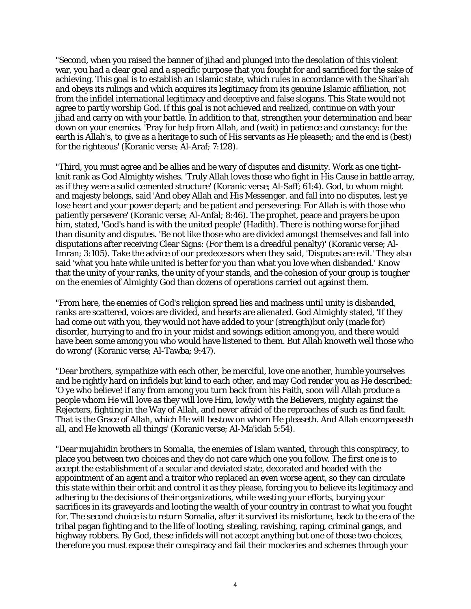"Second, when you raised the banner of jihad and plunged into the desolation of this violent war, you had a clear goal and a specific purpose that you fought for and sacrificed for the sake of achieving. This goal is to establish an Islamic state, which rules in accordance with the Shari'ah and obeys its rulings and which acquires its legitimacy from its genuine Islamic affiliation, not from the infidel international legitimacy and deceptive and false slogans. This State would not agree to partly worship God. If this goal is not achieved and realized, continue on with your jihad and carry on with your battle. In addition to that, strengthen your determination and bear down on your enemies. 'Pray for help from Allah, and (wait) in patience and constancy: for the earth is Allah's, to give as a heritage to such of His servants as He pleaseth; and the end is (best) for the righteous' (Koranic verse; Al-Araf; 7:128).

"Third, you must agree and be allies and be wary of disputes and disunity. Work as one tightknit rank as God Almighty wishes. 'Truly Allah loves those who fight in His Cause in battle array, as if they were a solid cemented structure' (Koranic verse; Al-Saff; 61:4). God, to whom might and majesty belongs, said 'And obey Allah and His Messenger. and fall into no disputes, lest ye lose heart and your power depart; and be patient and persevering: For Allah is with those who patiently persevere' (Koranic verse; Al-Anfal; 8:46). The prophet, peace and prayers be upon him, stated, 'God's hand is with the united people' (Hadith). There is nothing worse for jihad than disunity and disputes. 'Be not like those who are divided amongst themselves and fall into disputations after receiving Clear Signs: (For them is a dreadful penalty)' (Koranic verse; Al-Imran; 3:105). Take the advice of our predecessors when they said, 'Disputes are evil.' They also said 'what you hate while united is better for you than what you love when disbanded.' Know that the unity of your ranks, the unity of your stands, and the cohesion of your group is tougher on the enemies of Almighty God than dozens of operations carried out against them.

"From here, the enemies of God's religion spread lies and madness until unity is disbanded, ranks are scattered, voices are divided, and hearts are alienated. God Almighty stated, 'If they had come out with you, they would not have added to your (strength)but only (made for) disorder, hurrying to and fro in your midst and sowings edition among you, and there would have been some among you who would have listened to them. But Allah knoweth well those who do wrong' (Koranic verse; Al-Tawba; 9:47).

"Dear brothers, sympathize with each other, be merciful, love one another, humble yourselves and be rightly hard on infidels but kind to each other, and may God render you as He described: 'O ye who believe! if any from among you turn back from his Faith, soon will Allah produce a people whom He will love as they will love Him, lowly with the Believers, mighty against the Rejecters, fighting in the Way of Allah, and never afraid of the reproaches of such as find fault. That is the Grace of Allah, which He will bestow on whom He pleaseth. And Allah encompasseth all, and He knoweth all things' (Koranic verse; Al-Ma'idah 5:54).

"Dear mujahidin brothers in Somalia, the enemies of Islam wanted, through this conspiracy, to place you between two choices and they do not care which one you follow. The first one is to accept the establishment of a secular and deviated state, decorated and headed with the appointment of an agent and a traitor who replaced an even worse agent, so they can circulate this state within their orbit and control it as they please, forcing you to believe its legitimacy and adhering to the decisions of their organizations, while wasting your efforts, burying your sacrifices in its graveyards and looting the wealth of your country in contrast to what you fought for. The second choice is to return Somalia, after it survived its misfortune, back to the era of the tribal pagan fighting and to the life of looting, stealing, ravishing, raping, criminal gangs, and highway robbers. By God, these infidels will not accept anything but one of those two choices, therefore you must expose their conspiracy and fail their mockeries and schemes through your